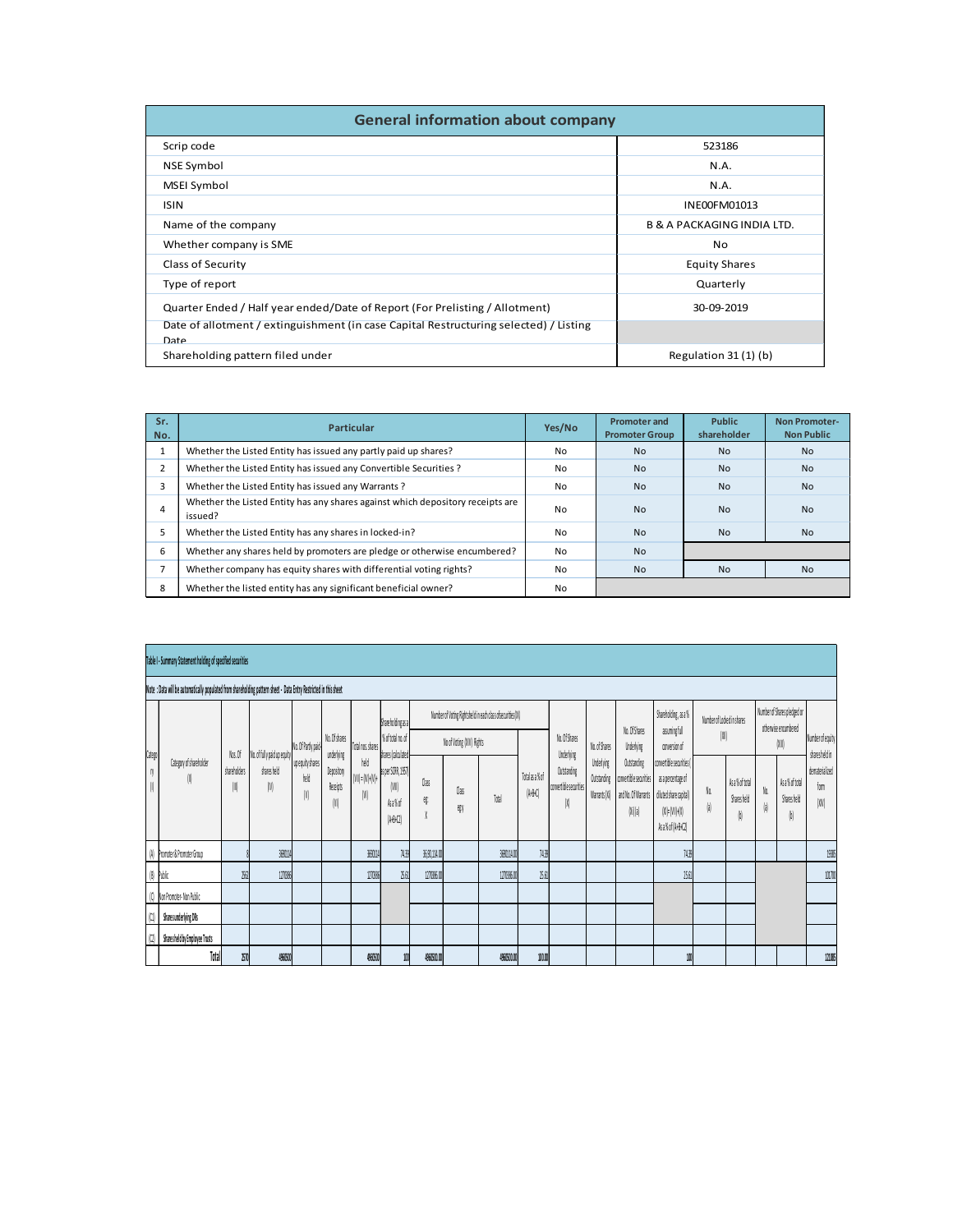| <b>General information about company</b>                                                         |        |                                              |                                       |                                           |
|--------------------------------------------------------------------------------------------------|--------|----------------------------------------------|---------------------------------------|-------------------------------------------|
| Scrip code                                                                                       |        |                                              | 523186                                |                                           |
| NSE Symbol                                                                                       |        |                                              | N.A.                                  |                                           |
| MSEI Symbol                                                                                      |        |                                              | N.A.                                  |                                           |
| <b>ISIN</b>                                                                                      |        |                                              | INE00FM01013                          |                                           |
| Name of the company                                                                              |        |                                              | <b>B &amp; A PACKAGING INDIA LTD.</b> |                                           |
| Whether company is SME                                                                           |        |                                              | No                                    |                                           |
| Class of Security                                                                                |        |                                              | <b>Equity Shares</b>                  |                                           |
| Type of report                                                                                   |        |                                              | Quarterly                             |                                           |
| Quarter Ended / Half year ended/Date of Report (For Prelisting / Allotment)                      |        |                                              | 30-09-2019                            |                                           |
| Date of allotment / extinguishment (in case Capital Restructuring selected) / Listing<br>Date    |        |                                              |                                       |                                           |
| Shareholding pattern filed under                                                                 |        |                                              | Regulation 31 (1) (b)                 |                                           |
|                                                                                                  |        |                                              |                                       |                                           |
|                                                                                                  |        |                                              |                                       |                                           |
| Sr.<br>Particular<br>No.                                                                         | Yes/No | <b>Promoter and</b><br><b>Promoter Group</b> | Public<br>shareholder                 | <b>Non Promoter-</b><br><b>Non Public</b> |
| Whether the Listed Entity has issued any partly paid up shares?<br>$\mathbf{1}$                  | No     | No                                           | $\mathsf{No}$                         | $\mathsf{No}$                             |
|                                                                                                  | No     | $\mathsf{No}$                                | No                                    | No                                        |
| $\overline{2}$<br>Whether the Listed Entity has issued any Convertible Securities ?              |        | $\mathsf{No}$                                | No                                    | No                                        |
| $\overline{\mathbf{3}}$<br>Whether the Listed Entity has issued any Warrants?                    | No     | $\mathsf{No}$                                | No                                    | No                                        |
| Whether the Listed Entity has any shares against which depository receipts are<br>$\overline{4}$ | No     |                                              |                                       |                                           |
| issued?<br>Whether the Listed Entity has any shares in locked-in?<br>5                           | No     | No                                           | No                                    | No                                        |
| 6<br>Whether any shares held by promoters are pledge or otherwise encumbered?                    | No     | $\operatorname{\mathsf{No}}$                 |                                       |                                           |
| Whether company has equity shares with differential voting rights?<br>$\overline{7}$             | No     | No                                           | $\mathsf{No}$                         | No                                        |
| 8<br>Whether the listed entity has any significant beneficial owner?                             | No     |                                              |                                       |                                           |
|                                                                                                  |        |                                              |                                       |                                           |
|                                                                                                  |        |                                              |                                       |                                           |

|                                | MSEI Symbol                                                                                                                          |          |                       | <b>N.A.</b>                           |                      |
|--------------------------------|--------------------------------------------------------------------------------------------------------------------------------------|----------|-----------------------|---------------------------------------|----------------------|
| <b>ISIN</b>                    |                                                                                                                                      |          |                       | INE00FM01013                          |                      |
|                                | Name of the company                                                                                                                  |          |                       | <b>B &amp; A PACKAGING INDIA LTD.</b> |                      |
|                                | Whether company is SME                                                                                                               |          |                       | No                                    |                      |
|                                | Class of Security                                                                                                                    |          |                       | <b>Equity Shares</b>                  |                      |
|                                | Type of report                                                                                                                       |          |                       | Quarterly                             |                      |
|                                | Quarter Ended / Half year ended/Date of Report (For Prelisting / Allotment)                                                          |          |                       | 30-09-2019                            |                      |
|                                | Date of allotment / extinguishment (in case Capital Restructuring selected) / Listing                                                |          |                       |                                       |                      |
| Date                           |                                                                                                                                      |          |                       |                                       |                      |
|                                | Shareholding pattern filed under                                                                                                     |          |                       | Regulation 31 (1) (b)                 |                      |
|                                |                                                                                                                                      |          |                       |                                       |                      |
|                                |                                                                                                                                      |          |                       |                                       |                      |
| Sr.                            | Particular                                                                                                                           | Yes/No   | <b>Promoter and</b>   | Public                                | <b>Non Promoter-</b> |
| No.                            |                                                                                                                                      |          | <b>Promoter Group</b> | shareholder                           | <b>Non Public</b>    |
| $\mathbf{1}$<br>$\overline{2}$ | Whether the Listed Entity has issued any partly paid up shares?<br>Whether the Listed Entity has issued any Convertible Securities ? | No       | <b>No</b><br>No       | <b>No</b><br>No                       | <b>No</b>            |
| $\overline{3}$                 |                                                                                                                                      | No<br>No | <b>No</b>             | <b>No</b>                             | <b>No</b>            |
|                                | Whether the Listed Entity has issued any Warrants?<br>Whether the Listed Entity has any shares against which depository receipts are |          |                       |                                       | No                   |
| $\overline{4}$                 | issued?                                                                                                                              | No       | No                    | No                                    | No                   |
| 5                              | Whether the Listed Entity has any shares in locked-in?                                                                               | No       | No                    | No                                    | No                   |
| 6                              | Whether any shares held by promoters are pledge or otherwise encumbered?                                                             | No       | No                    |                                       |                      |
| $\overline{7}$                 | Whether company has equity shares with differential voting rights?                                                                   | No       | <b>No</b>             | No                                    | No                   |
| 8                              | Whether the listed entity has any significant beneficial owner?                                                                      | No       |                       |                                       |                      |
|                                |                                                                                                                                      |          |                       |                                       |                      |
|                                |                                                                                                                                      |          |                       |                                       |                      |
|                                |                                                                                                                                      |          |                       |                                       |                      |
|                                | Table I - Summary Statement holding of specified securities                                                                          |          |                       |                                       |                      |
|                                | Note : Data will be automatically populated from shareholding pattern sheet - Data Entry Restricted in this sheet                    |          |                       |                                       |                      |
|                                |                                                                                                                                      |          |                       |                                       |                      |

| 3              |                                                                                                                   |                   | Whether the Listed Entity has issued any Warrants?                             |                                         |                                                                                                                                                                                                                                                                                                                                                                                                                                                                                                                                                                                                                                        |                          |                                                             |              |                           |                                                            |                                     | No                                    |                           | No                                                                                    |                                                                                                                                                                            |   | No                                                   |                     |                                                              | No                                |
|----------------|-------------------------------------------------------------------------------------------------------------------|-------------------|--------------------------------------------------------------------------------|-----------------------------------------|----------------------------------------------------------------------------------------------------------------------------------------------------------------------------------------------------------------------------------------------------------------------------------------------------------------------------------------------------------------------------------------------------------------------------------------------------------------------------------------------------------------------------------------------------------------------------------------------------------------------------------------|--------------------------|-------------------------------------------------------------|--------------|---------------------------|------------------------------------------------------------|-------------------------------------|---------------------------------------|---------------------------|---------------------------------------------------------------------------------------|----------------------------------------------------------------------------------------------------------------------------------------------------------------------------|---|------------------------------------------------------|---------------------|--------------------------------------------------------------|-----------------------------------|
| $\overline{4}$ | issued?                                                                                                           |                   | Whether the Listed Entity has any shares against which depository receipts are |                                         |                                                                                                                                                                                                                                                                                                                                                                                                                                                                                                                                                                                                                                        |                          |                                                             |              |                           |                                                            |                                     | No                                    |                           | <b>No</b>                                                                             |                                                                                                                                                                            |   | No                                                   |                     |                                                              | No                                |
| 5              |                                                                                                                   |                   | Whether the Listed Entity has any shares in locked-in?                         |                                         |                                                                                                                                                                                                                                                                                                                                                                                                                                                                                                                                                                                                                                        |                          |                                                             |              |                           |                                                            |                                     | No                                    |                           | <b>No</b>                                                                             |                                                                                                                                                                            |   | No                                                   |                     |                                                              | No                                |
| 6              |                                                                                                                   |                   | Whether any shares held by promoters are pledge or otherwise encumbered?       |                                         |                                                                                                                                                                                                                                                                                                                                                                                                                                                                                                                                                                                                                                        |                          |                                                             |              |                           |                                                            |                                     | No                                    |                           | <b>No</b>                                                                             |                                                                                                                                                                            |   |                                                      |                     |                                                              |                                   |
| $\overline{7}$ |                                                                                                                   |                   | Whether company has equity shares with differential voting rights?             |                                         |                                                                                                                                                                                                                                                                                                                                                                                                                                                                                                                                                                                                                                        |                          |                                                             |              |                           |                                                            |                                     | No                                    |                           | No                                                                                    |                                                                                                                                                                            |   | No                                                   |                     |                                                              | No                                |
| 8              |                                                                                                                   |                   | Whether the listed entity has any significant beneficial owner?                |                                         |                                                                                                                                                                                                                                                                                                                                                                                                                                                                                                                                                                                                                                        |                          |                                                             |              |                           |                                                            |                                     | No                                    |                           |                                                                                       |                                                                                                                                                                            |   |                                                      |                     |                                                              |                                   |
|                | Table I - Summary Statement holding of specified securities                                                       |                   |                                                                                |                                         |                                                                                                                                                                                                                                                                                                                                                                                                                                                                                                                                                                                                                                        |                          |                                                             |              |                           |                                                            |                                     |                                       |                           |                                                                                       |                                                                                                                                                                            |   |                                                      |                     |                                                              |                                   |
|                | Note : Data will be automatically populated from shareholding pattern sheet - Data Entry Restricted in this sheet |                   |                                                                                |                                         |                                                                                                                                                                                                                                                                                                                                                                                                                                                                                                                                                                                                                                        |                          |                                                             |              |                           |                                                            |                                     |                                       |                           |                                                                                       |                                                                                                                                                                            |   |                                                      |                     |                                                              |                                   |
| Catego         |                                                                                                                   | Nos.Of            | No. of fully paid up equity                                                    | No. Of Partly paid-                     | No. Of shares<br>underlying                                                                                                                                                                                                                                                                                                                                                                                                                                                                                                                                                                                                            | Total nos.shares<br>held | Shareholding as a<br>% of total no. of<br>shares (calculate |              | No of Voting (XIV) Rights | Number of Voting Rightsheld in each class ofsecurities(IX) |                                     | No. Of Shares<br>Underlying           | No. of Shares             | No.OfShares<br>Underlying                                                             | Shareholding, as a %<br>assumingfull<br>conversion of                                                                                                                      |   | Number of Locked in shares<br>$\left 0\right\rangle$ |                     | Number of Shares pledged or<br>otherwise encumbered<br>(XII) | Number of equity<br>sharesheld in |
|                | $\mbox{Gdegory}$ of shareholder                                                                                   | shareholders<br>Ⅲ | sharesheld                                                                     | upequity shares<br>held<br>$\mathsf{N}$ | Depository<br>Receipts<br>$[0] % \begin{center} % \includegraphics[width=\linewidth]{imagesSupplemental_3.png} % \end{center} % \caption { % Our method is used for the method. % Note that the \emph{Stab} and the \emph{Stab} can be used for the \emph{Stab} and the \emph{Stab} can be used for the \emph{Stab} and the \emph{Stab} can be used for the \emph{Stab} and the \emph{Stab} can be used for the \emph{Stab} and the \emph{Stab} can be used for the \emph{Stab} and the \emph{Stab} can be used for the \emph{Stab} and the \emph{Stab} can be used for the \emph{Stab} and the \emph{Stab} can be used for the \emph$ | /ll)=(V)+(V)+            | as per SCRR, 1957)<br>$\mathsf{M}$<br>Asa%of<br>$[AB + C]$  | Class<br>ę.  | Oas<br>egy                | Total                                                      | Total as a % of<br>$[\text{A+B+C}]$ | Outstanding<br>convertible securities | Underlying<br>Outstanding | Outstanding<br>convertible securities<br>Warrants (Xi) and No. Of Warrants<br>(Ni)(a) | convertible securities (<br>as a percentage of<br>diluted share capital)<br>$\langle \mathbf{X}   \mathbf{F}   \mathbf{W}   \mathbf{F}   \mathbf{X}  $<br>Asa% of (A+B+C2) | a | As a % of total<br>Sharesheld                        | No.<br>$\mathsf{a}$ | Asa% of total<br>Sharesheld                                  | dematerialized<br>form<br>(XIV)   |
|                | (A) Promoter & Promoter Group                                                                                     |                   | 369014                                                                         |                                         |                                                                                                                                                                                                                                                                                                                                                                                                                                                                                                                                                                                                                                        | 3590114                  | 74.39                                                       | 35,90,114,00 |                           | 360014.00                                                  | 717                                 |                                       |                           |                                                                                       | 7439                                                                                                                                                                       |   |                                                      |                     |                                                              | 1935                              |
| $ B $ Public   |                                                                                                                   | 260               | 1270385                                                                        |                                         |                                                                                                                                                                                                                                                                                                                                                                                                                                                                                                                                                                                                                                        | 127036                   | 25.61                                                       | 127086.00    |                           | 127036.00                                                  | 25.61                               |                                       |                           |                                                                                       | 2.61                                                                                                                                                                       |   |                                                      |                     |                                                              | 101700                            |
|                | (C) Non Promoter- Non Public                                                                                      |                   |                                                                                |                                         |                                                                                                                                                                                                                                                                                                                                                                                                                                                                                                                                                                                                                                        |                          |                                                             |              |                           |                                                            |                                     |                                       |                           |                                                                                       |                                                                                                                                                                            |   |                                                      |                     |                                                              |                                   |
| u l            | Shares underlying DRs                                                                                             |                   |                                                                                |                                         |                                                                                                                                                                                                                                                                                                                                                                                                                                                                                                                                                                                                                                        |                          |                                                             |              |                           |                                                            |                                     |                                       |                           |                                                                                       |                                                                                                                                                                            |   |                                                      |                     |                                                              |                                   |
| 0              | Shares held by Employee Trusts                                                                                    |                   |                                                                                |                                         |                                                                                                                                                                                                                                                                                                                                                                                                                                                                                                                                                                                                                                        |                          |                                                             |              |                           |                                                            |                                     |                                       |                           |                                                                                       |                                                                                                                                                                            |   |                                                      |                     |                                                              |                                   |
|                | Total                                                                                                             | Zn                | 4960500                                                                        |                                         |                                                                                                                                                                                                                                                                                                                                                                                                                                                                                                                                                                                                                                        | 4960500                  |                                                             | 4960500.00   |                           | 4960500.00                                                 | 10.0                                |                                       |                           |                                                                                       |                                                                                                                                                                            |   |                                                      |                     |                                                              | 121085                            |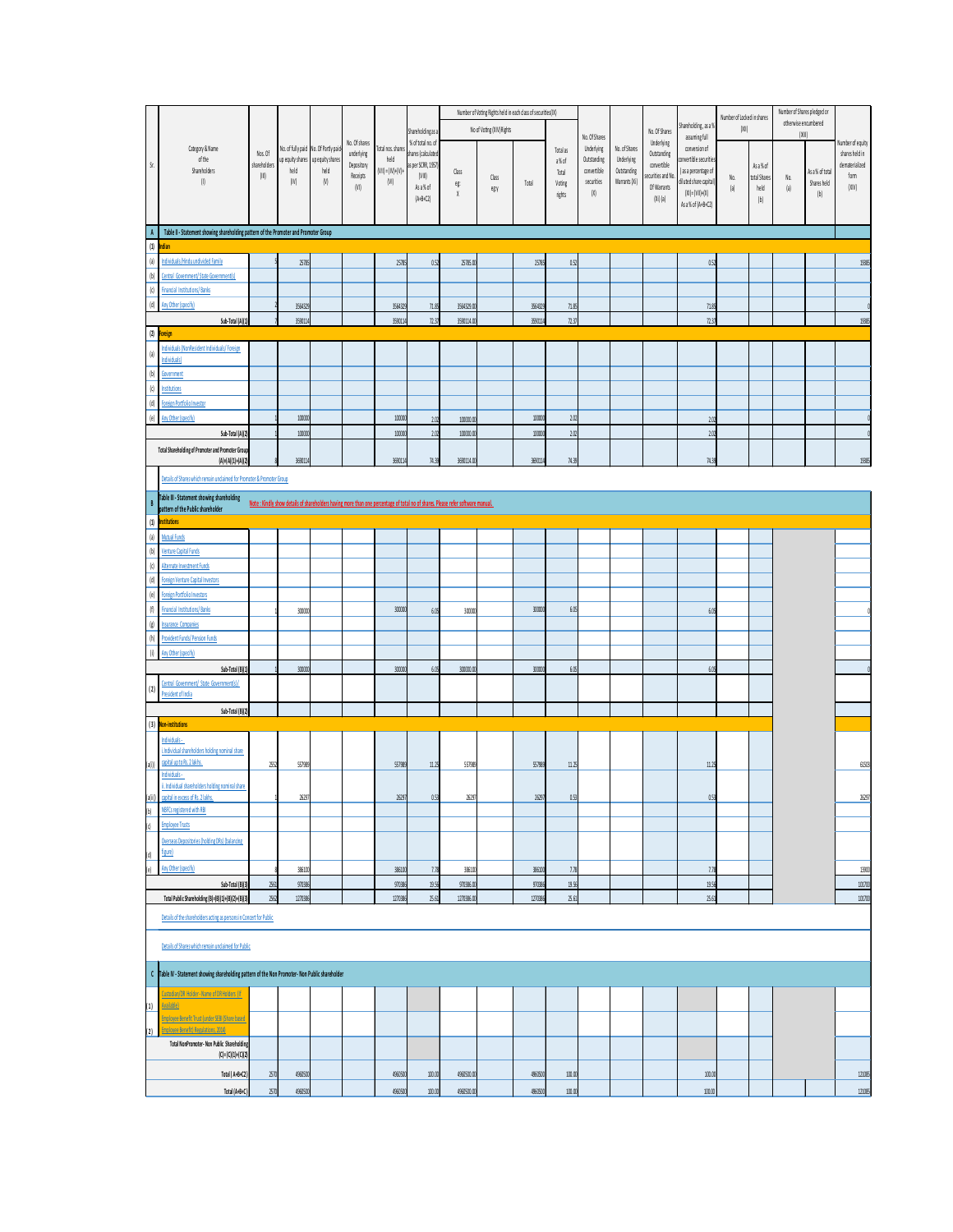| Category & Name<br>of the<br>Shareholders<br>$\left( 1\right)$                                                                                                              | Nos. Of<br>shareholders<br>$\langle 01 \rangle$ | held<br>(10)            | No. of fully paid No. Of Partly paid-<br>up equity shares up equity shares<br>held<br>(V) | No. Of shares<br>underlying<br>Depository<br>Receipts<br>(VI)                                                                  | Total nos. shares<br>held<br>$[VII] = [IV] + [V] +$<br>(VI) | Shareholding as a<br>% of total no. of<br>shares (calculated<br>as per SCRR, 1957)<br>(VIII)<br>As a % of<br>$(A+B+C2)$ | Class<br>eg:<br>$\chi$   | Number of Voting Rights held in each class of securities(IX)<br>No of Voting (XIV) Rights<br>Class<br>egy | Total              | Total as<br>a% of<br>Total<br>Voting<br>rights | $\mathsf{No}.\mathsf{OfShares}$<br>Underlying<br>Outstanding<br>convertible<br>securities<br>(X) | No. of Shares<br>Underlying<br>Outstanding<br>Warrants (Xi) | No. Of Shares<br>Underlying<br>Outstanding<br>convertible<br>securities and No<br>Of Warrants | Shareholding, as a 9<br>assuming full<br>conversion of<br>convertible securities<br>( as a percentage of<br>diluted share capital)<br>$(XI) = (VII)+(X)$ | No.<br>$\mathsf{a}$ | Number of Locked in shares<br>(XII)<br>As a % of<br>total Shares<br>held | Number of Shares pledged or<br>otherwise encumbered<br>(XIII)<br>No.<br> a | As a % of total<br>Shares held<br>[b] | Number of equity<br>shares held in<br>dematerialized<br>form<br>(XIV) |
|-----------------------------------------------------------------------------------------------------------------------------------------------------------------------------|-------------------------------------------------|-------------------------|-------------------------------------------------------------------------------------------|--------------------------------------------------------------------------------------------------------------------------------|-------------------------------------------------------------|-------------------------------------------------------------------------------------------------------------------------|--------------------------|-----------------------------------------------------------------------------------------------------------|--------------------|------------------------------------------------|--------------------------------------------------------------------------------------------------|-------------------------------------------------------------|-----------------------------------------------------------------------------------------------|----------------------------------------------------------------------------------------------------------------------------------------------------------|---------------------|--------------------------------------------------------------------------|----------------------------------------------------------------------------|---------------------------------------|-----------------------------------------------------------------------|
| A Table II - Statement showing shareholding pattern of the Promoter and Promoter Group                                                                                      |                                                 |                         |                                                                                           |                                                                                                                                |                                                             |                                                                                                                         |                          |                                                                                                           |                    |                                                |                                                                                                  |                                                             | $(Xi)$ (a)                                                                                    | As a % of (A+B+C2)                                                                                                                                       |                     | (b)                                                                      |                                                                            |                                       |                                                                       |
| $(1)$ Indian<br>Individuals/Hindu undivided Family<br>Central Government/State Government(s)<br>(b)                                                                         |                                                 | 25789                   |                                                                                           |                                                                                                                                | 25785                                                       | 0.52                                                                                                                    | 25785.0                  |                                                                                                           | 25785              | 0.52                                           |                                                                                                  |                                                             |                                                                                               | 057                                                                                                                                                      |                     |                                                                          |                                                                            |                                       | 1938                                                                  |
| (d)  <br><b>Financial Institutions/Banks</b><br>(d)<br>Any Other (specify)<br>Sub-Total (A)(1)                                                                              |                                                 | 3564329<br>3590114      |                                                                                           |                                                                                                                                | 3564329<br>3590114                                          | 71.85<br>72.37                                                                                                          | 3564329.00<br>3590114.00 |                                                                                                           | 3564329<br>3590114 | 71.85<br>72.37                                 |                                                                                                  |                                                             |                                                                                               | 71.85<br>7237                                                                                                                                            |                     |                                                                          |                                                                            |                                       | 1938                                                                  |
| $(2)$ Foreign<br>Individuals (NonResident Individuals/ Foreign<br>ndividuals)                                                                                               |                                                 |                         |                                                                                           |                                                                                                                                |                                                             |                                                                                                                         |                          |                                                                                                           |                    |                                                |                                                                                                  |                                                             |                                                                                               |                                                                                                                                                          |                     |                                                                          |                                                                            |                                       |                                                                       |
| (b)<br>Government<br>nstitutions<br>(d) Foreign Portfolio Investor                                                                                                          |                                                 |                         |                                                                                           |                                                                                                                                |                                                             |                                                                                                                         |                          |                                                                                                           |                    |                                                |                                                                                                  |                                                             |                                                                                               |                                                                                                                                                          |                     |                                                                          |                                                                            |                                       |                                                                       |
| e) Any Other (specify)<br>Sub-Total (A)(2                                                                                                                                   |                                                 | 100000<br>$10000$       |                                                                                           |                                                                                                                                | 100000<br>100000                                            | 2.02<br>2.02                                                                                                            | 100000.00<br>100000.0    |                                                                                                           | 100000<br>100000   | 2.02<br>20                                     |                                                                                                  |                                                             |                                                                                               | 2.02<br>2.02                                                                                                                                             |                     |                                                                          |                                                                            |                                       |                                                                       |
| Total Shareholding of Promoter and Promoter Group<br>$(A) = (A)(1) + (A)(2)$<br>Details of Shares which remain unclaimed for Promoter & Promoter Group                      |                                                 | 3690114                 |                                                                                           |                                                                                                                                | 3690114                                                     | M.39                                                                                                                    | 3690114.00               |                                                                                                           | 3690114            | M <sub>3</sub>                                 |                                                                                                  |                                                             |                                                                                               | 7439                                                                                                                                                     |                     |                                                                          |                                                                            |                                       | 19385                                                                 |
| Table III - Statement showing shareholding<br> <br>  pattern of the Public shareholder<br>(1) Institutions                                                                  |                                                 |                         |                                                                                           | Note: Kindly show details of shareholders having more than one percentage of total no of shares. Please refer software manual. |                                                             |                                                                                                                         |                          |                                                                                                           |                    |                                                |                                                                                                  |                                                             |                                                                                               |                                                                                                                                                          |                     |                                                                          |                                                                            |                                       |                                                                       |
| Mutual Funds<br>$\left[ a\right]$<br>(b) <u>Venture Capital Funds</u>                                                                                                       |                                                 |                         |                                                                                           |                                                                                                                                |                                                             |                                                                                                                         |                          |                                                                                                           |                    |                                                |                                                                                                  |                                                             |                                                                                               |                                                                                                                                                          |                     |                                                                          |                                                                            |                                       |                                                                       |
| Alternate Investment Funds<br>(d) Foreign Venture Capital Investors<br>(e) Foreign Portfolio Investors                                                                      |                                                 |                         |                                                                                           |                                                                                                                                |                                                             |                                                                                                                         |                          |                                                                                                           |                    |                                                |                                                                                                  |                                                             |                                                                                               |                                                                                                                                                          |                     |                                                                          |                                                                            |                                       |                                                                       |
| (f) Financial Institutions/Banks<br>(g) Insurance Companies<br>(h) Provident Funds/Pension Funds                                                                            |                                                 | 300000                  |                                                                                           |                                                                                                                                | 30000                                                       | 6.05                                                                                                                    | 30000                    |                                                                                                           | 30000              | 6.05                                           |                                                                                                  |                                                             |                                                                                               | 6.05                                                                                                                                                     |                     |                                                                          |                                                                            |                                       |                                                                       |
| (i) Any Other (specify)<br>Sub-Total (B)(1)                                                                                                                                 |                                                 | 30000                   |                                                                                           |                                                                                                                                | 30000                                                       | 6.05                                                                                                                    | 300000                   |                                                                                                           | 300000             | 6.05                                           |                                                                                                  |                                                             |                                                                                               | 6.05                                                                                                                                                     |                     |                                                                          |                                                                            |                                       |                                                                       |
| Central Government/ State Government(s)/<br>$\begin{array}{ c c }\n\hline\n\end{array}$ President of India<br>Sub-Total (B)(2)                                              |                                                 |                         |                                                                                           |                                                                                                                                |                                                             |                                                                                                                         |                          |                                                                                                           |                    |                                                |                                                                                                  |                                                             |                                                                                               |                                                                                                                                                          |                     |                                                                          |                                                                            |                                       |                                                                       |
| (3) <mark>Non-institutions</mark><br>Individuals -<br>i.Individual shareholders holding nominal share                                                                       |                                                 |                         |                                                                                           |                                                                                                                                |                                                             |                                                                                                                         |                          |                                                                                                           |                    |                                                |                                                                                                  |                                                             |                                                                                               |                                                                                                                                                          |                     |                                                                          |                                                                            |                                       |                                                                       |
| (a(i)) <b>capital up to Rs. 2 lakhs.</b><br>Individuals -<br>ii. Individual shareholders holding nominal share<br>(a(ii)) capital in excess of Rs. 2 lakhs.                 |                                                 | 2552<br>557989<br>26297 |                                                                                           |                                                                                                                                | 557989<br>26297                                             | 11.25<br>0.53                                                                                                           | 557989<br>26297          |                                                                                                           | 557989<br>26297    | 11.25<br>0.53                                  |                                                                                                  |                                                             |                                                                                               | 11.25<br>053                                                                                                                                             |                     |                                                                          |                                                                            |                                       | 61503<br>26297                                                        |
| NBFCs registered with RBI<br>$\left( 0\right)$<br><b>Employee Trusts</b><br>(d)                                                                                             |                                                 |                         |                                                                                           |                                                                                                                                |                                                             |                                                                                                                         |                          |                                                                                                           |                    |                                                |                                                                                                  |                                                             |                                                                                               |                                                                                                                                                          |                     |                                                                          |                                                                            |                                       |                                                                       |
| Overseas Depositories (holding DRs) (balancing<br>figure)<br>Any Other (specify)                                                                                            |                                                 | 386100                  |                                                                                           |                                                                                                                                | 386100                                                      | 7.78                                                                                                                    | 386100                   |                                                                                                           | 386100             | 7.78                                           |                                                                                                  |                                                             |                                                                                               | 7.78                                                                                                                                                     |                     |                                                                          |                                                                            |                                       | 13900                                                                 |
| Sub-Total (B)(3)<br>Total Public Shareholding (B)=(B)(1)+(B)(2)+(B)(3)                                                                                                      | 2561<br>2562                                    | 970386<br>1270386       |                                                                                           |                                                                                                                                | 970386<br>1270386                                           | 19.56<br>25.61                                                                                                          | 970386.00<br>1270386.00  |                                                                                                           | 970386<br>1270386  | 19.56<br>25.61                                 |                                                                                                  |                                                             |                                                                                               | 19.56<br>25.61                                                                                                                                           |                     |                                                                          |                                                                            |                                       | 101700<br>101700                                                      |
| Details of the shareholders acting as persons in Concert for Public<br>Details of Shares which remain unclaimed for Public                                                  |                                                 |                         |                                                                                           |                                                                                                                                |                                                             |                                                                                                                         |                          |                                                                                                           |                    |                                                |                                                                                                  |                                                             |                                                                                               |                                                                                                                                                          |                     |                                                                          |                                                                            |                                       |                                                                       |
| C Table IV - Statement showing shareholding pattern of the Non Promoter- Non Public shareholder                                                                             |                                                 |                         |                                                                                           |                                                                                                                                |                                                             |                                                                                                                         |                          |                                                                                                           |                    |                                                |                                                                                                  |                                                             |                                                                                               |                                                                                                                                                          |                     |                                                                          |                                                                            |                                       |                                                                       |
| Custodian/DR Holder - Name of DR Holders (If<br>$(1)$ <i>krailable</i><br><b>Employee Benefit Trust (under SEBI (Share based</b><br>(2) Employee Benefit) Regulations, 2014 |                                                 |                         |                                                                                           |                                                                                                                                |                                                             |                                                                                                                         |                          |                                                                                                           |                    |                                                |                                                                                                  |                                                             |                                                                                               |                                                                                                                                                          |                     |                                                                          |                                                                            |                                       |                                                                       |
| Total NonPromoter- Non Public Shareholding<br>$(C) = (C)(1) + (C)(2)$                                                                                                       |                                                 |                         |                                                                                           |                                                                                                                                |                                                             |                                                                                                                         |                          |                                                                                                           |                    |                                                |                                                                                                  |                                                             |                                                                                               |                                                                                                                                                          |                     |                                                                          |                                                                            |                                       |                                                                       |
| Total (A+B+C2)                                                                                                                                                              | 2570                                            | 4960500                 |                                                                                           |                                                                                                                                | 4960500                                                     | 100.00                                                                                                                  | 4960500.00               |                                                                                                           | 4960500            | 100.00                                         |                                                                                                  |                                                             |                                                                                               | 100.00                                                                                                                                                   |                     |                                                                          |                                                                            |                                       | 121085                                                                |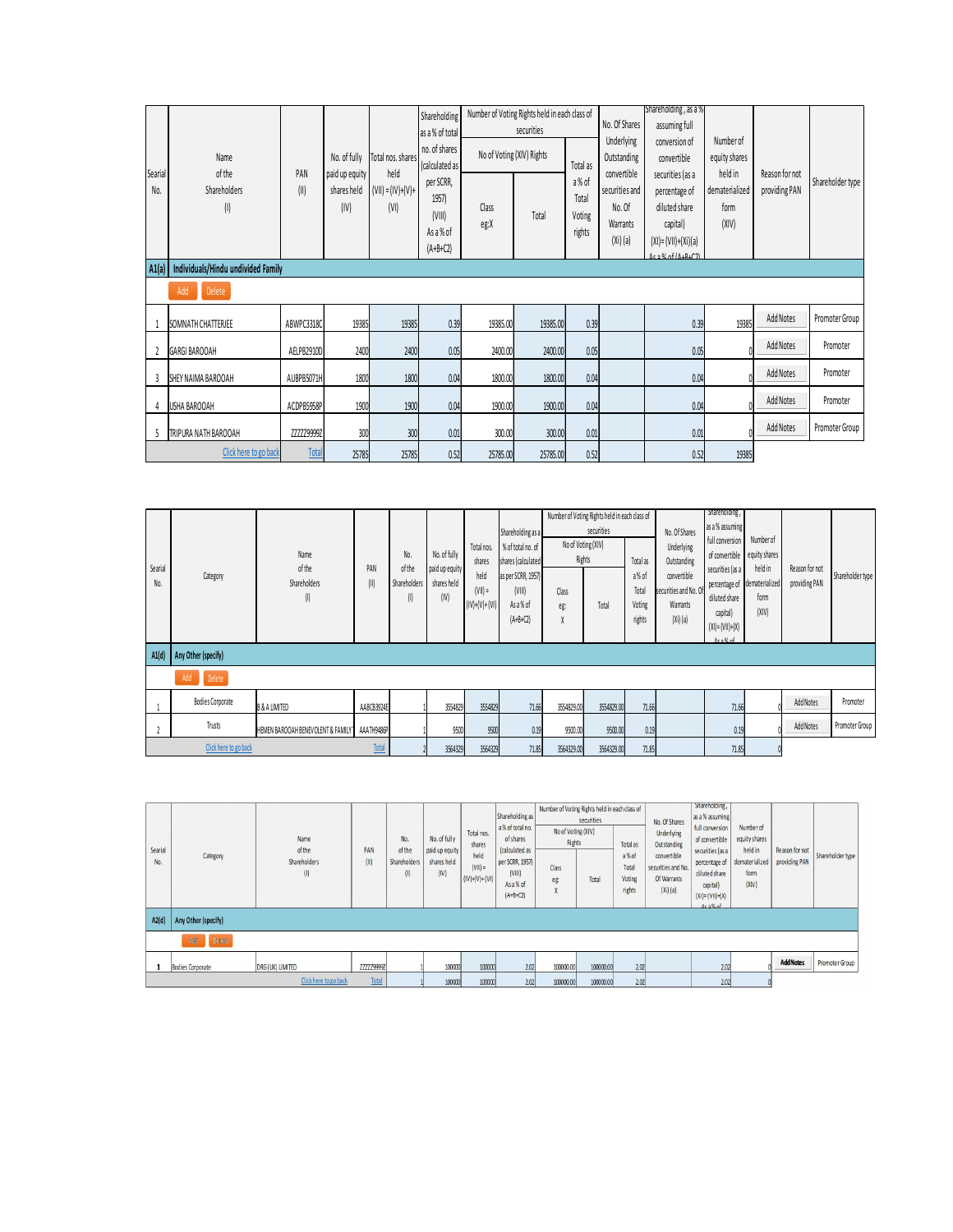| Searial      | Name<br>of the                             | PAN            | No. of fully                          | Total nos. shares<br>held   | Shareholding<br>as a % of total<br>no. of shares<br>(calculated as |                      | Number of Voting Rights held in each class of<br>securities<br>No of Voting (XIV) Rights | Total as                                   | No. Of Shares<br>Underlying<br>Outstanding<br>convertible | Shareholding, as a %<br>assuming full<br>conversion of<br>convertible                                         | Number of<br>equity shares<br>held in                                                  | Reason for not                       |                  |
|--------------|--------------------------------------------|----------------|---------------------------------------|-----------------------------|--------------------------------------------------------------------|----------------------|------------------------------------------------------------------------------------------|--------------------------------------------|-----------------------------------------------------------|---------------------------------------------------------------------------------------------------------------|----------------------------------------------------------------------------------------|--------------------------------------|------------------|
| No.          | Shareholders<br>$\left( \mathsf{l}\right)$ | (II)           | paid up equity<br>shares held<br>(IV) | $(VII) = (IV)+(V)+$<br>(VI) | per SCRR,<br>1957)<br>(VIII)<br>As a % of<br>$(A+B+C2)$            | Class<br>eg:X        | Total                                                                                    | a% of<br>Total<br>Voting<br>rights         | securities and<br>No. Of<br>Warrants<br>(Xi)(a)           | securities (as a<br>percentage of<br>diluted share<br>capital)<br>$(XI) = (VII)+(Xi)(a)$<br>$15\%$ of $11.42$ | dematerialized<br>form<br>(XIV)                                                        | providing PAN                        | Shareholder type |
|              | A1(a)   Individuals/Hindu undivided Family |                |                                       |                             |                                                                    |                      |                                                                                          |                                            |                                                           |                                                                                                               |                                                                                        |                                      |                  |
|              | Delete<br>Add                              |                |                                       |                             |                                                                    |                      |                                                                                          |                                            |                                                           |                                                                                                               |                                                                                        |                                      |                  |
| $\mathbf{1}$ | SOMNATH CHATTERJEE                         | ABWPC3318C     | 19385                                 | 19385                       | 0.39                                                               | 19385.00             | 19385.00                                                                                 | 0.39                                       |                                                           | 0.39                                                                                                          | 19385                                                                                  | Add Notes                            | Promoter Group   |
|              | 2 GARGI BAROOAH                            | AELPB2910D     | 2400                                  |                             | 2400<br>0.05                                                       | 2400.00              | 2400.00                                                                                  | 0.05                                       |                                                           | 0.05                                                                                                          |                                                                                        | Add Notes                            | Promoter         |
|              | 3 SHEY NAIMA BAROOAH                       | AUBPB5071H     | 1800                                  |                             | 1800<br>0.04                                                       | 1800.00              | 1800.00                                                                                  | 0.04                                       |                                                           | 0.04                                                                                                          |                                                                                        | Add Notes                            | Promoter         |
|              | 4 USHA BAROOAH                             | ACDPB5958P     | 1900                                  |                             | 1900<br>0.04                                                       | 1900.00              | 1900.00                                                                                  | 0.04                                       |                                                           | 0.04                                                                                                          |                                                                                        | Add Notes                            | Promoter         |
|              | 5 TRIPURA NATH BAROOAH                     | ZZZZZ9999Z     |                                       | 300                         | 300<br>0.01                                                        | 300.00               | 300.00                                                                                   | 0.01                                       |                                                           | 0.01                                                                                                          |                                                                                        | Add Notes                            | Promoter Group   |
|              | Click here to go back                      |                | <b>Total</b><br>25785                 | 25785                       | 0.52                                                               | 25785.00             | 25785.00                                                                                 | 0.52                                       |                                                           | 0.52                                                                                                          | 19385                                                                                  |                                      |                  |
|              |                                            |                |                                       |                             |                                                                    |                      |                                                                                          |                                            |                                                           |                                                                                                               |                                                                                        |                                      |                  |
| Conrigl      |                                            | Name<br>of the |                                       | No.<br>of the<br><b>DAN</b> | No. of fully<br>rtiuna nu hich                                     | Total nos.<br>shares | Shareholding as a<br>% of total no. of<br>shares (calculated                             | securities<br>No of Voting (XIV)<br>Rights | Number of Voting Rights held in each dass of<br>Total as  | No. Of Shares<br>Underlying<br>Outstanding                                                                    | Shareholding,<br>as a % assuming<br>full conversion<br>of convertible<br>runtiae lae a | Number of<br>equity shares<br>haldin | Regent for not   |

|                | A1(a)   Individuals/Hindu undivided Family |                                       |              |                                      |                                                       |                                                              |                                                                                                                         |                                                                                                   |                     |                                                                  |                                                                                                               |                                                                                                                                                |                                                                          |                                 |                  |
|----------------|--------------------------------------------|---------------------------------------|--------------|--------------------------------------|-------------------------------------------------------|--------------------------------------------------------------|-------------------------------------------------------------------------------------------------------------------------|---------------------------------------------------------------------------------------------------|---------------------|------------------------------------------------------------------|---------------------------------------------------------------------------------------------------------------|------------------------------------------------------------------------------------------------------------------------------------------------|--------------------------------------------------------------------------|---------------------------------|------------------|
|                | Add<br>Delete                              |                                       |              |                                      |                                                       |                                                              |                                                                                                                         |                                                                                                   |                     |                                                                  |                                                                                                               |                                                                                                                                                |                                                                          |                                 |                  |
|                | SOMNATH CHATTERJEE                         | ABWPC3318C                            | 19385        | 19385                                | 0.39                                                  | 19385.00                                                     |                                                                                                                         | 0.39<br>19385.00                                                                                  |                     |                                                                  | 0.39                                                                                                          | 19385                                                                                                                                          |                                                                          | Add Notes                       | Promoter Group   |
|                | 2 GARGI BAROOAH                            | AELPB2910D                            | 2400         | 2400                                 | 0.05                                                  | 2400.00                                                      |                                                                                                                         | 2400.00<br>0.05                                                                                   |                     |                                                                  | 0.05                                                                                                          |                                                                                                                                                |                                                                          | Add Notes                       | Promoter         |
| $\overline{3}$ | SHEY NAIMA BAROOAH                         | AUBPB5071H                            | 1800         | 1800                                 | 0.04                                                  | 1800.00                                                      |                                                                                                                         | 1800.00<br>0.04                                                                                   |                     |                                                                  | 0.04                                                                                                          |                                                                                                                                                |                                                                          | Add Notes                       | Promoter         |
| $\overline{4}$ | USHA BAROOAH                               | ACDPB5958P                            | 1900         | 1900                                 | 0.04                                                  | 1900.00                                                      |                                                                                                                         | 1900.00<br>0.04                                                                                   |                     |                                                                  | 0.04                                                                                                          |                                                                                                                                                |                                                                          | Add Notes                       | Promoter         |
|                | 5 TRIPURA NATH BAROOAH                     | ZZZZZ99992                            | 300          | 300                                  | 0.01                                                  | 300.00                                                       |                                                                                                                         | 300.00<br>0.01                                                                                    |                     |                                                                  | $0.01\,$                                                                                                      |                                                                                                                                                |                                                                          | Add Notes                       | Promoter Group   |
|                | Click here to go back                      | Tota                                  | 25785        | 25785                                | 0.52                                                  | 25785.00                                                     |                                                                                                                         | 25785.00<br>0.52                                                                                  |                     |                                                                  | 0.52                                                                                                          | 19385                                                                                                                                          |                                                                          |                                 |                  |
|                |                                            |                                       |              |                                      |                                                       |                                                              |                                                                                                                         |                                                                                                   |                     |                                                                  |                                                                                                               | Shareholding,                                                                                                                                  |                                                                          |                                 |                  |
| Searial<br>No. | Category                                   | Name<br>of the<br>Shareholders<br>(1) | PAN<br>(II)  | No.<br>of the<br>Shareholders<br>(1) | No. of fully<br>paid up equity<br>shares held<br>(IV) | Total nos.<br>shares<br>held<br>$(V  )$ =<br>$(IV)+(V)+(VI)$ | Shareholding as a<br>% of total no. of<br>shares (calculated<br>as per SCRR, 1957)<br>(VIII)<br>As a % of<br>$(A+B+C2)$ | Number of Voting Rights held in each dass of<br>No of Voting (XIV)<br>Rights<br>Class<br>eg:<br>X | securities<br>Total | Total as<br>a% of<br>Total<br>Voting<br>rights                   | No. Of Shares<br>Underlying<br>Outstanding<br>convertible<br>securities and No. C<br>Warrants<br>$(Xi)$ $(a)$ | as a % assuming<br>full conversion<br>of convertible<br>securities (as a<br>percentage of<br>diluted share<br>capital)<br>$(XI) = (VII) + (X)$ | Number of<br>equity shares<br>held in<br>dematerialized<br>form<br>(XIV) | Reason for not<br>providing PAN | Shareholder type |
| A1(d)          | Any Other (specify)                        |                                       |              |                                      |                                                       |                                                              |                                                                                                                         |                                                                                                   |                     |                                                                  |                                                                                                               | 1.00A                                                                                                                                          |                                                                          |                                 |                  |
|                | Delete                                     |                                       |              |                                      |                                                       |                                                              |                                                                                                                         |                                                                                                   |                     |                                                                  |                                                                                                               |                                                                                                                                                |                                                                          |                                 |                  |
| 1              | <b>Bodies Corporate</b>                    | <b>B &amp; A LIMITED</b>              | AABCB3924E   |                                      | 3554829                                               | 3554829                                                      | 71.66                                                                                                                   | 3554829.00                                                                                        | 3554829.00          | 71.66                                                            |                                                                                                               | 71.66                                                                                                                                          |                                                                          | Add Notes                       | Promoter         |
| $\overline{2}$ | Trusts                                     | HEMEN BAROOAH BENEVOLENT & FAMILY 1   | AAATH9486P   |                                      | 9500                                                  | 9500                                                         | 0.19                                                                                                                    | 9500.00                                                                                           | 9500.00             | 0.19                                                             |                                                                                                               | 0.19                                                                                                                                           |                                                                          | Add Notes                       | Promoter Group   |
|                | Click here to go back                      |                                       | <b>Total</b> |                                      | 3564329                                               | 3564329                                                      | 71.85                                                                                                                   | 3564329.00                                                                                        | 3564329.00          | 71.85                                                            |                                                                                                               | 71.85                                                                                                                                          |                                                                          |                                 |                  |
|                |                                            |                                       |              |                                      |                                                       |                                                              |                                                                                                                         |                                                                                                   |                     |                                                                  |                                                                                                               |                                                                                                                                                |                                                                          |                                 |                  |
| Searial<br>No. | Category                                   | Name<br>of the<br>Shareholders        | PAN<br>(1)   | No.<br>of the<br>Shareholder:        | No. of fully<br>paid up equity<br>shares held         | Total nos.<br>shares<br>held                                 | Shareholding as<br>a% of total no.<br>of shares<br>(calculated as<br>per SCRR, 1957)                                    | Number of Voting Rights held in each class of<br>securities<br>No of Voting (XIV)<br>Rights       | Total as<br>a% of   | No. Of Shares<br><b>Underlying</b><br>Outstanding<br>convertible |                                                                                                               | Shareholding,<br>as a % assuming<br>full conversion<br>of convertible<br>securities (as a<br>percentage of                                     | Number of<br>equity shares<br>held in<br>dematerialized                  | Reason for not<br>providing PAN | Shareholder type |

| Searial<br>No. | Category                | Name<br>of the<br>Shareholders<br>(1) | PAN<br>(II)       | No.<br>of the<br>Shareholders<br>(1) | No. of fully<br>paid up equity<br>shares held<br>(IV) | Total nos.<br>shares<br>held<br>$(VII) =$<br>$(IV)+(V)+(V))$ | Shareholding as<br>a% of total no.<br>of shares<br>(calculated as<br>per SCRR, 1957)<br>(VIII)<br>As a % of<br>$(A+B+C2)$ | Number of Voting Rights held in each class of<br>No of Voting (XIV)<br>Rights<br>Class<br>eg: | securities<br>Total | Total as<br>a%of<br>Total<br>Voting<br>rights | No. Of Shares<br><b>Underlying</b><br>Outstanding<br>convertible<br>securities and No.<br>Of Warrants<br>(Xi)(a) | Shareholding,<br>as a % assuming<br>full conversion<br>of convertible<br>securities (as a<br>percentage of<br>diluted share<br>capital)<br>$(XI) = (VII) + (X)$<br>$Ac2$ % of | Number of<br>equity shares<br>held in<br>form<br>(XIV) | Reason for not<br>dematerialized   providing PAN | Shareholder type |
|----------------|-------------------------|---------------------------------------|-------------------|--------------------------------------|-------------------------------------------------------|--------------------------------------------------------------|---------------------------------------------------------------------------------------------------------------------------|-----------------------------------------------------------------------------------------------|---------------------|-----------------------------------------------|------------------------------------------------------------------------------------------------------------------|-------------------------------------------------------------------------------------------------------------------------------------------------------------------------------|--------------------------------------------------------|--------------------------------------------------|------------------|
| A2(d)          | Any Other (specify)     |                                       |                   |                                      |                                                       |                                                              |                                                                                                                           |                                                                                               |                     |                                               |                                                                                                                  |                                                                                                                                                                               |                                                        |                                                  |                  |
|                | Defete<br>Add           |                                       |                   |                                      |                                                       |                                                              |                                                                                                                           |                                                                                               |                     |                                               |                                                                                                                  |                                                                                                                                                                               |                                                        |                                                  |                  |
|                | <b>Bodies Corporate</b> | DRG (UK) LIMITED                      | <b>ZZZZZ9999Z</b> |                                      | 100000                                                | 100000                                                       | 2.02                                                                                                                      | 100000.00                                                                                     | 100000.00           | 2.02                                          |                                                                                                                  | 2.02                                                                                                                                                                          |                                                        | <b>Add Notes</b>                                 | Promoter Group   |
|                |                         | Click here to go back                 | Total             |                                      | 100000                                                | 100000                                                       | 2.02                                                                                                                      | 100000.00                                                                                     | 100000.00           | 2.02                                          |                                                                                                                  | 2.02                                                                                                                                                                          |                                                        |                                                  |                  |